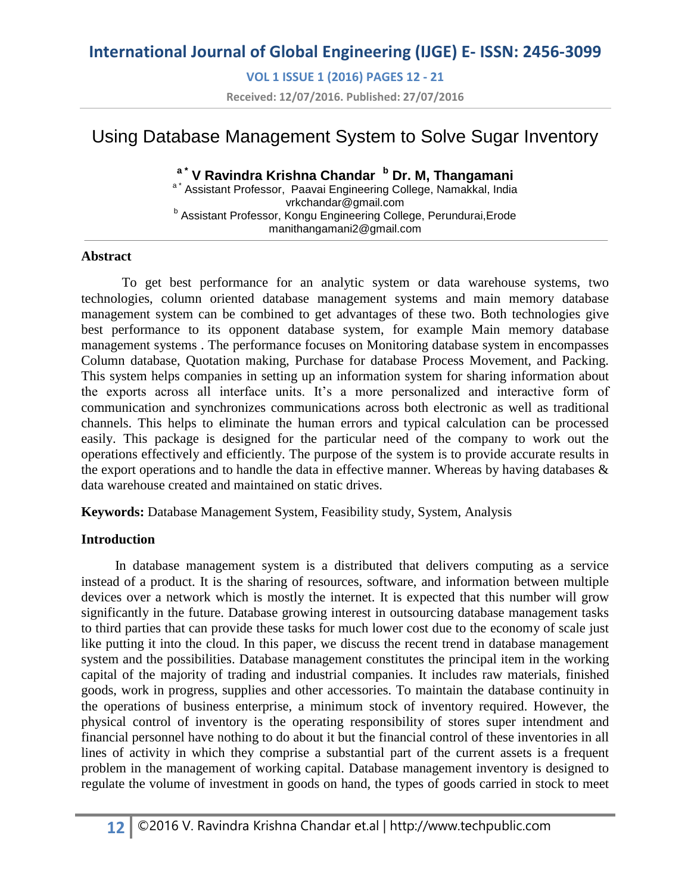**VOL 1 ISSUE 1 (2016) PAGES 12 - 21**

**Received: 12/07/2016. Published: 27/07/2016**

# Using Database Management System to Solve Sugar Inventory

#### **a \* V Ravindra Krishna Chandar <sup>b</sup> Dr. M, Thangamani**

a<sup>\*</sup> Assistant Professor, Paavai Engineering College, Namakkal, India vrkchandar@gmail.com <sup>b</sup> Assistant Professor, Kongu Engineering College, Perundurai, Erode [manithangamani2@gmail.com](mailto:manithangamani2@gmail.com)

#### **Abstract**

 To get best performance for an analytic system or data warehouse systems, two technologies, column oriented database management systems and main memory database management system can be combined to get advantages of these two. Both technologies give best performance to its opponent database system, for example Main memory database management systems . The performance focuses on Monitoring database system in encompasses Column database, Quotation making, Purchase for database Process Movement, and Packing. This system helps companies in setting up an information system for sharing information about the exports across all interface units. It's a more personalized and interactive form of communication and synchronizes communications across both electronic as well as traditional channels. This helps to eliminate the human errors and typical calculation can be processed easily. This package is designed for the particular need of the company to work out the operations effectively and efficiently. The purpose of the system is to provide accurate results in the export operations and to handle the data in effective manner. Whereas by having databases & data warehouse created and maintained on static drives.

**Keywords:** Database Management System, Feasibility study, System, Analysis

#### **Introduction**

 In database management system is a distributed that delivers computing as a service instead of a product. It is the sharing of resources, software, and information between multiple devices over a network which is mostly the internet. It is expected that this number will grow significantly in the future. Database growing interest in outsourcing database management tasks to third parties that can provide these tasks for much lower cost due to the economy of scale just like putting it into the cloud. In this paper, we discuss the recent trend in database management system and the possibilities. Database management constitutes the principal item in the working capital of the majority of trading and industrial companies. It includes raw materials, finished goods, work in progress, supplies and other accessories. To maintain the database continuity in the operations of business enterprise, a minimum stock of inventory required. However, the physical control of inventory is the operating responsibility of stores super intendment and financial personnel have nothing to do about it but the financial control of these inventories in all lines of activity in which they comprise a substantial part of the current assets is a frequent problem in the management of working capital. Database management inventory is designed to regulate the volume of investment in goods on hand, the types of goods carried in stock to meet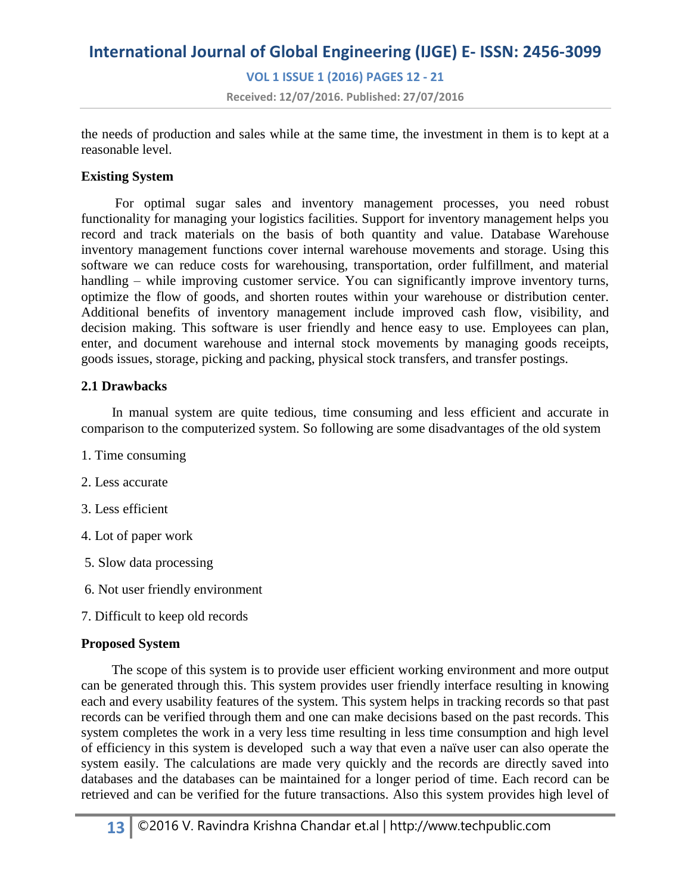# **International Journal of Global Engineering (IJGE) E- ISSN: 2456-3099 VOL 1 ISSUE 1 (2016) PAGES 12 - 21**

**Received: 12/07/2016. Published: 27/07/2016**

the needs of production and sales while at the same time, the investment in them is to kept at a reasonable level.

#### **Existing System**

 For optimal sugar sales and inventory management processes, you need robust functionality for managing your logistics facilities. Support for inventory management helps you record and track materials on the basis of both quantity and value. Database Warehouse inventory management functions cover internal warehouse movements and storage. Using this software we can reduce costs for warehousing, transportation, order fulfillment, and material handling – while improving customer service. You can significantly improve inventory turns, optimize the flow of goods, and shorten routes within your warehouse or distribution center. Additional benefits of inventory management include improved cash flow, visibility, and decision making. This software is user friendly and hence easy to use. Employees can plan, enter, and document warehouse and internal stock movements by managing goods receipts, goods issues, storage, picking and packing, physical stock transfers, and transfer postings.

#### **2.1 Drawbacks**

 In manual system are quite tedious, time consuming and less efficient and accurate in comparison to the computerized system. So following are some disadvantages of the old system

- 1. Time consuming
- 2. Less accurate
- 3. Less efficient
- 4. Lot of paper work
- 5. Slow data processing
- 6. Not user friendly environment
- 7. Difficult to keep old records

#### **Proposed System**

 The scope of this system is to provide user efficient working environment and more output can be generated through this. This system provides user friendly interface resulting in knowing each and every usability features of the system. This system helps in tracking records so that past records can be verified through them and one can make decisions based on the past records. This system completes the work in a very less time resulting in less time consumption and high level of efficiency in this system is developed such a way that even a naïve user can also operate the system easily. The calculations are made very quickly and the records are directly saved into databases and the databases can be maintained for a longer period of time. Each record can be retrieved and can be verified for the future transactions. Also this system provides high level of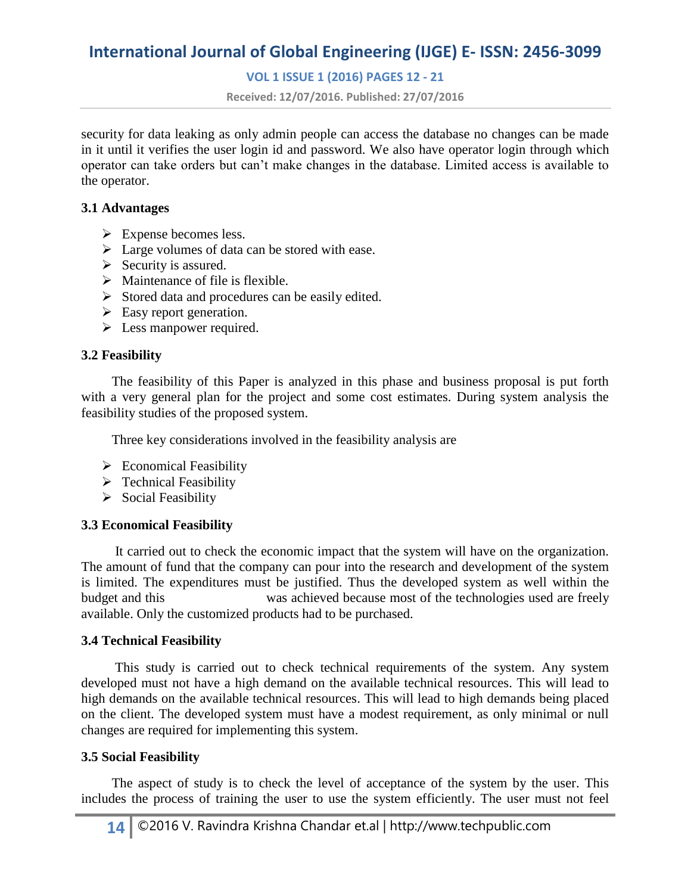#### **VOL 1 ISSUE 1 (2016) PAGES 12 - 21**

**Received: 12/07/2016. Published: 27/07/2016**

security for data leaking as only admin people can access the database no changes can be made in it until it verifies the user login id and password. We also have operator login through which operator can take orders but can't make changes in the database. Limited access is available to the operator.

#### **3.1 Advantages**

- $\triangleright$  Expense becomes less.
- $\triangleright$  Large volumes of data can be stored with ease.
- $\triangleright$  Security is assured.
- $\triangleright$  Maintenance of file is flexible.
- $\triangleright$  Stored data and procedures can be easily edited.
- $\triangleright$  Easy report generation.
- $\triangleright$  Less manpower required.

#### **3.2 Feasibility**

 The feasibility of this Paper is analyzed in this phase and business proposal is put forth with a very general plan for the project and some cost estimates. During system analysis the feasibility studies of the proposed system.

Three key considerations involved in the feasibility analysis are

- $\triangleright$  Economical Feasibility
- $\triangleright$  Technical Feasibility
- $\triangleright$  Social Feasibility

#### **3.3 Economical Feasibility**

 It carried out to check the economic impact that the system will have on the organization. The amount of fund that the company can pour into the research and development of the system is limited. The expenditures must be justified. Thus the developed system as well within the budget and this was achieved because most of the technologies used are freely available. Only the customized products had to be purchased.

#### **3.4 Technical Feasibility**

 This study is carried out to check technical requirements of the system. Any system developed must not have a high demand on the available technical resources. This will lead to high demands on the available technical resources. This will lead to high demands being placed on the client. The developed system must have a modest requirement, as only minimal or null changes are required for implementing this system.

#### **3.5 Social Feasibility**

 The aspect of study is to check the level of acceptance of the system by the user. This includes the process of training the user to use the system efficiently. The user must not feel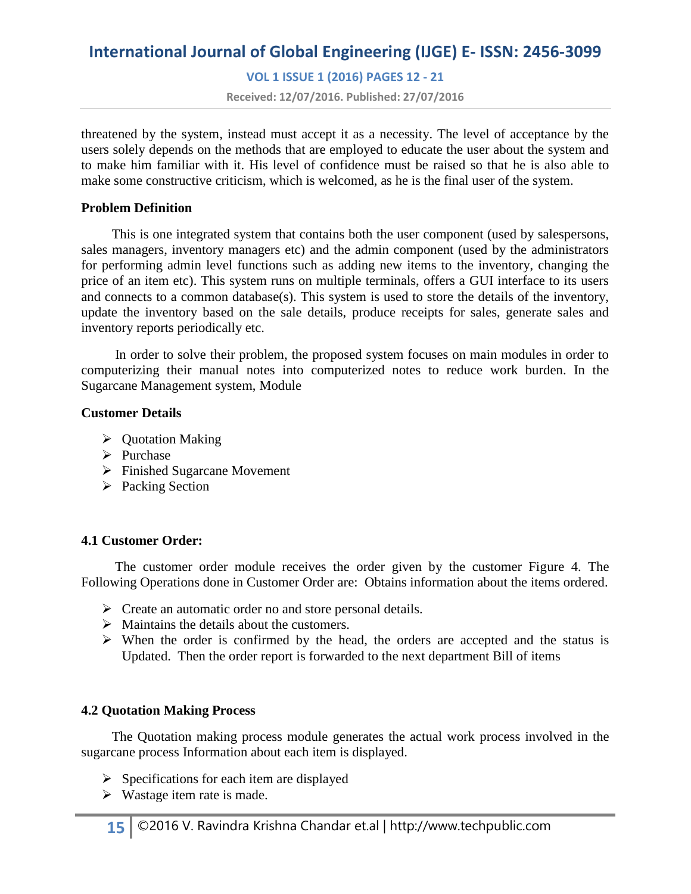**VOL 1 ISSUE 1 (2016) PAGES 12 - 21**

**Received: 12/07/2016. Published: 27/07/2016**

threatened by the system, instead must accept it as a necessity. The level of acceptance by the users solely depends on the methods that are employed to educate the user about the system and to make him familiar with it. His level of confidence must be raised so that he is also able to make some constructive criticism, which is welcomed, as he is the final user of the system.

#### **Problem Definition**

 This is one integrated system that contains both the user component (used by salespersons, sales managers, inventory managers etc) and the admin component (used by the administrators for performing admin level functions such as adding new items to the inventory, changing the price of an item etc). This system runs on multiple terminals, offers a GUI interface to its users and connects to a common database(s). This system is used to store the details of the inventory, update the inventory based on the sale details, produce receipts for sales, generate sales and inventory reports periodically etc.

 In order to solve their problem, the proposed system focuses on main modules in order to computerizing their manual notes into computerized notes to reduce work burden. In the Sugarcane Management system, Module

#### **Customer Details**

- $\triangleright$  Quotation Making
- $\triangleright$  Purchase
- Finished Sugarcane Movement
- $\triangleright$  Packing Section

#### **4.1 Customer Order:**

 The customer order module receives the order given by the customer Figure 4. The Following Operations done in Customer Order are: Obtains information about the items ordered.

- $\triangleright$  Create an automatic order no and store personal details.
- $\triangleright$  Maintains the details about the customers.
- $\triangleright$  When the order is confirmed by the head, the orders are accepted and the status is Updated. Then the order report is forwarded to the next department Bill of items

#### **4.2 Quotation Making Process**

 The Quotation making process module generates the actual work process involved in the sugarcane process Information about each item is displayed.

- $\triangleright$  Specifications for each item are displayed
- $\triangleright$  Wastage item rate is made.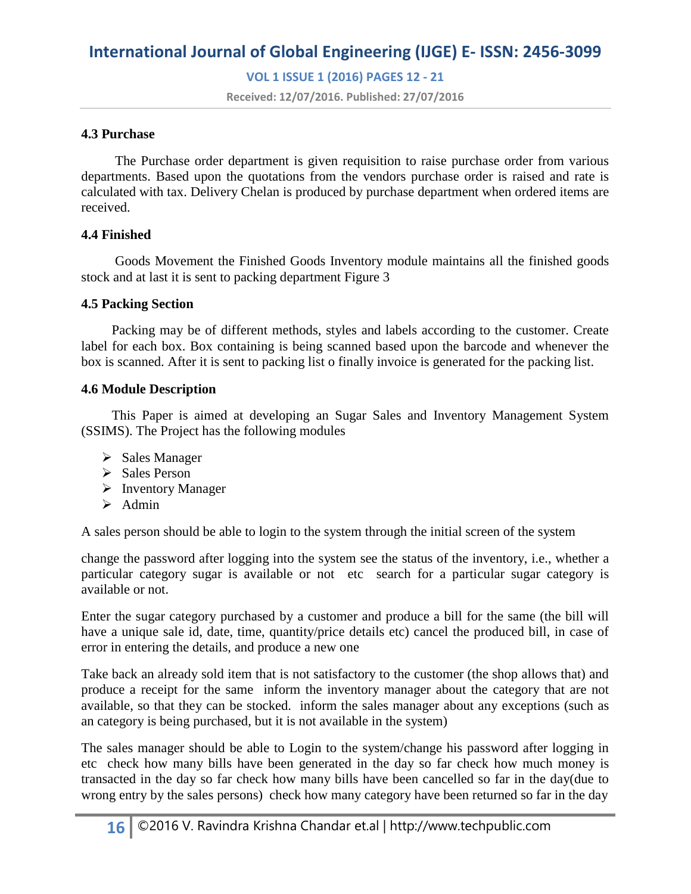**VOL 1 ISSUE 1 (2016) PAGES 12 - 21**

**Received: 12/07/2016. Published: 27/07/2016**

#### **4.3 Purchase**

 The Purchase order department is given requisition to raise purchase order from various departments. Based upon the quotations from the vendors purchase order is raised and rate is calculated with tax. Delivery Chelan is produced by purchase department when ordered items are received.

#### **4.4 Finished**

 Goods Movement the Finished Goods Inventory module maintains all the finished goods stock and at last it is sent to packing department Figure 3

#### **4.5 Packing Section**

 Packing may be of different methods, styles and labels according to the customer. Create label for each box. Box containing is being scanned based upon the barcode and whenever the box is scanned. After it is sent to packing list o finally invoice is generated for the packing list.

#### **4.6 Module Description**

 This Paper is aimed at developing an Sugar Sales and Inventory Management System (SSIMS). The Project has the following modules

- $\triangleright$  Sales Manager
- $\triangleright$  Sales Person
- $\triangleright$  Inventory Manager
- $\triangleright$  Admin

A sales person should be able to login to the system through the initial screen of the system

change the password after logging into the system see the status of the inventory, i.e., whether a particular category sugar is available or not etc search for a particular sugar category is available or not.

Enter the sugar category purchased by a customer and produce a bill for the same (the bill will have a unique sale id, date, time, quantity/price details etc) cancel the produced bill, in case of error in entering the details, and produce a new one

Take back an already sold item that is not satisfactory to the customer (the shop allows that) and produce a receipt for the same inform the inventory manager about the category that are not available, so that they can be stocked. inform the sales manager about any exceptions (such as an category is being purchased, but it is not available in the system)

The sales manager should be able to Login to the system/change his password after logging in etc check how many bills have been generated in the day so far check how much money is transacted in the day so far check how many bills have been cancelled so far in the day(due to wrong entry by the sales persons) check how many category have been returned so far in the day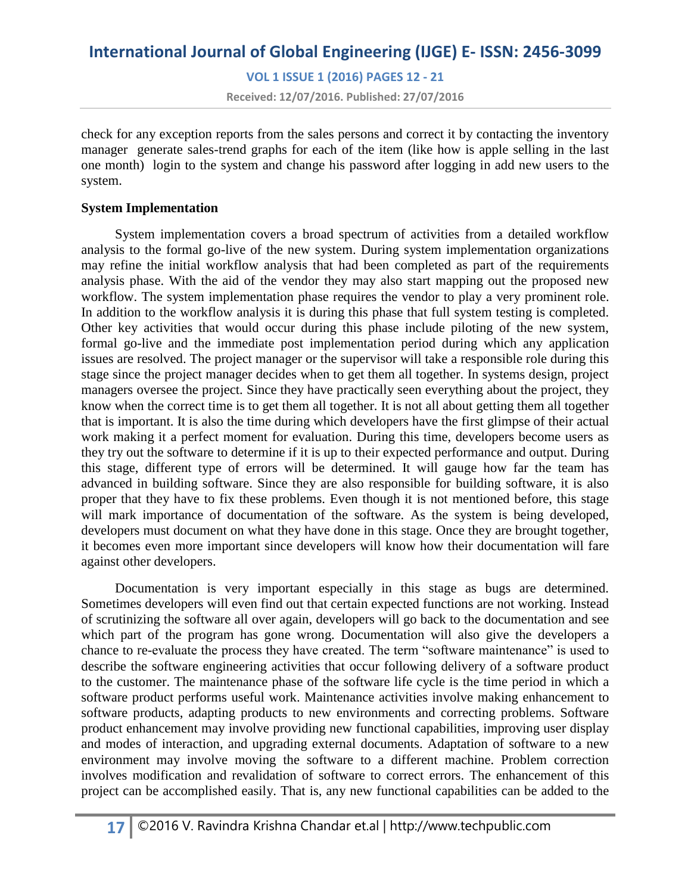# **International Journal of Global Engineering (IJGE) E- ISSN: 2456-3099 VOL 1 ISSUE 1 (2016) PAGES 12 - 21**

**Received: 12/07/2016. Published: 27/07/2016**

check for any exception reports from the sales persons and correct it by contacting the inventory manager generate sales-trend graphs for each of the item (like how is apple selling in the last one month) login to the system and change his password after logging in add new users to the system.

#### **System Implementation**

 System implementation covers a broad spectrum of activities from a detailed workflow analysis to the formal go-live of the new system. During system implementation organizations may refine the initial workflow analysis that had been completed as part of the requirements analysis phase. With the aid of the vendor they may also start mapping out the proposed new workflow. The system implementation phase requires the vendor to play a very prominent role. In addition to the workflow analysis it is during this phase that full system testing is completed. Other key activities that would occur during this phase include piloting of the new system, formal go-live and the immediate post implementation period during which any application issues are resolved. The project manager or the supervisor will take a responsible role during this stage since the project manager decides when to get them all together. In systems design, project managers oversee the project. Since they have practically seen everything about the project, they know when the correct time is to get them all together. It is not all about getting them all together that is important. It is also the time during which developers have the first glimpse of their actual work making it a perfect moment for evaluation. During this time, developers become users as they try out the software to determine if it is up to their expected performance and output. During this stage, different type of errors will be determined. It will gauge how far the team has advanced in building software. Since they are also responsible for building software, it is also proper that they have to fix these problems. Even though it is not mentioned before, this stage will mark importance of documentation of the software. As the system is being developed, developers must document on what they have done in this stage. Once they are brought together, it becomes even more important since developers will know how their documentation will fare against other developers.

 Documentation is very important especially in this stage as bugs are determined. Sometimes developers will even find out that certain expected functions are not working. Instead of scrutinizing the software all over again, developers will go back to the documentation and see which part of the program has gone wrong. Documentation will also give the developers a chance to re-evaluate the process they have created. The term "software maintenance" is used to describe the software engineering activities that occur following delivery of a software product to the customer. The maintenance phase of the software life cycle is the time period in which a software product performs useful work. Maintenance activities involve making enhancement to software products, adapting products to new environments and correcting problems. Software product enhancement may involve providing new functional capabilities, improving user display and modes of interaction, and upgrading external documents. Adaptation of software to a new environment may involve moving the software to a different machine. Problem correction involves modification and revalidation of software to correct errors. The enhancement of this project can be accomplished easily. That is, any new functional capabilities can be added to the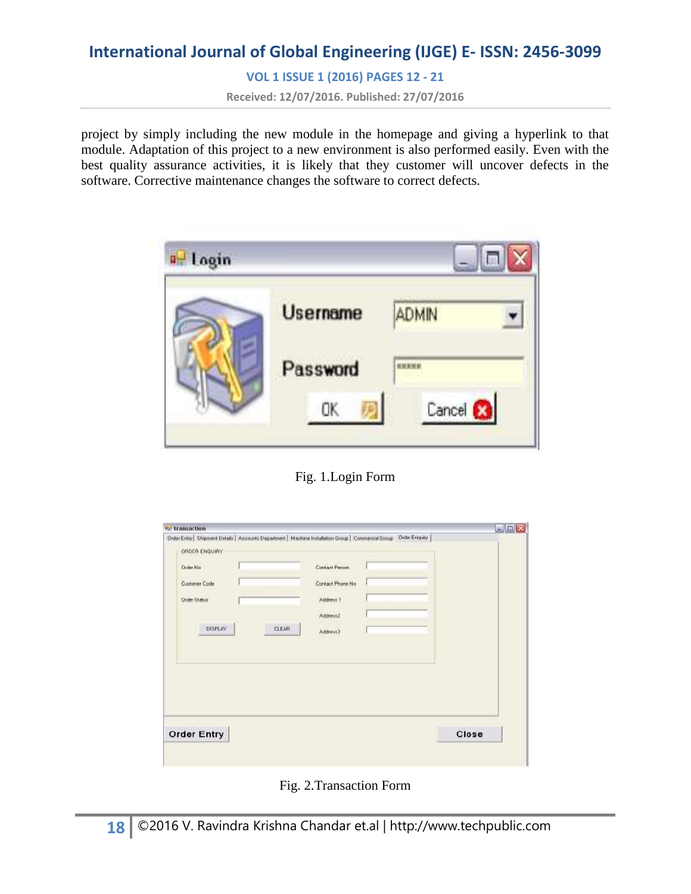**VOL 1 ISSUE 1 (2016) PAGES 12 - 21**

**Received: 12/07/2016. Published: 27/07/2016**

project by simply including the new module in the homepage and giving a hyperlink to that module. Adaptation of this project to a new environment is also performed easily. Even with the best quality assurance activities, it is likely that they customer will uncover defects in the software. Corrective maintenance changes the software to correct defects.



Fig. 1.Login Form

| ORDER ENQUIRY           |       | Order Entry   Shipment Details   Accounts Department   Machine Installation Group   Commercial Group   Order Enquiry |  |
|-------------------------|-------|----------------------------------------------------------------------------------------------------------------------|--|
| Order No                |       | Contact Person                                                                                                       |  |
| 42-211<br>Customer Code |       | Contact Phone No.                                                                                                    |  |
| <b>Order Status</b>     |       | Address 1                                                                                                            |  |
|                         |       | Address2                                                                                                             |  |
| <b>DISPLAY</b>          | CLEAN | Address3                                                                                                             |  |
|                         |       |                                                                                                                      |  |
|                         |       |                                                                                                                      |  |

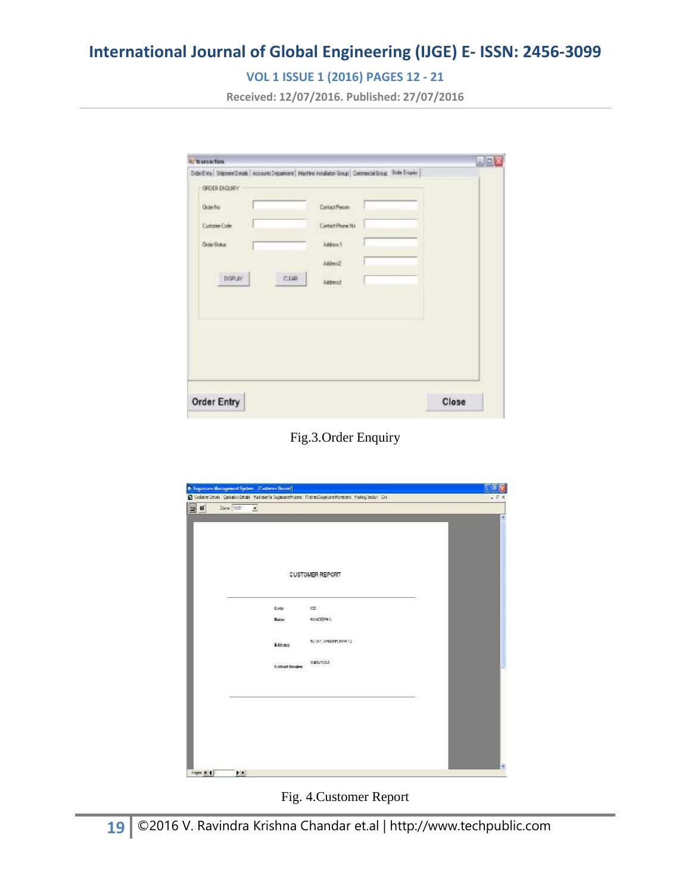### **VOL 1 ISSUE 1 (2016) PAGES 12 - 21**

**Received: 12/07/2016. Published: 27/07/2016**

|                    | Dos Evry Thomm Desit Account Departer Hachine retailers Group Connected Group Dele Diguy |       |
|--------------------|------------------------------------------------------------------------------------------|-------|
| OFDER ENGLIFY.     |                                                                                          |       |
| Orger No.          | Cartact Penan                                                                            |       |
| Customer Code      | Contact Phone Na                                                                         |       |
| <b>Draw Shakup</b> | Address 1                                                                                |       |
|                    | Mde=2                                                                                    |       |
| DSPLAY:            | CEAR<br>Addesi3                                                                          |       |
|                    |                                                                                          |       |
|                    |                                                                                          |       |
|                    |                                                                                          |       |
|                    |                                                                                          |       |
|                    |                                                                                          |       |
|                    |                                                                                          |       |
| <b>Order Entry</b> |                                                                                          | Close |

#### Fig.3.Order Enquiry

| 国司<br>Zien 1937<br>Ξ |                       |                        |  |
|----------------------|-----------------------|------------------------|--|
|                      |                       | <b>CUSTOMER REPORT</b> |  |
|                      | Codis                 | $150 -$                |  |
|                      | None.                 | NANDEPAS.              |  |
|                      | <b>Addings</b>        | IC:32, GAILER RAILTZ   |  |
|                      | <b>Contact Render</b> | E49271257              |  |
|                      |                       |                        |  |
|                      |                       |                        |  |
|                      |                       |                        |  |
|                      |                       |                        |  |

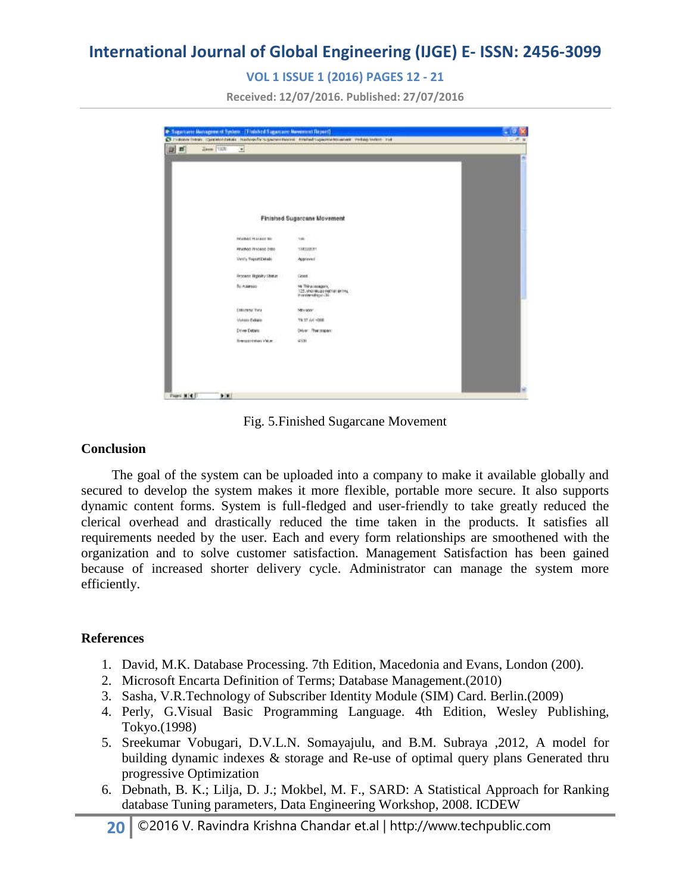#### **VOL 1 ISSUE 1 (2016) PAGES 12 - 21**

**Received: 12/07/2016. Published: 27/07/2016**

|    |                              | Christmas Hitler commerciation manually supervisitioned institutions relationships and the settle indi- |  |
|----|------------------------------|---------------------------------------------------------------------------------------------------------|--|
| 山西 | <b>Дини 1101</b><br>$\cdot$  |                                                                                                         |  |
|    |                              |                                                                                                         |  |
|    |                              |                                                                                                         |  |
|    |                              |                                                                                                         |  |
|    |                              |                                                                                                         |  |
|    |                              |                                                                                                         |  |
|    |                              |                                                                                                         |  |
|    |                              | <b>Finished Sugarcane Movement</b>                                                                      |  |
|    |                              |                                                                                                         |  |
|    | Webschriftschaft bin         | 1m                                                                                                      |  |
|    | <b>FINITIOS TESSING DISK</b> | TERSUMERS                                                                                               |  |
|    | Verify Seport Details        | Apprevent                                                                                               |  |
|    |                              |                                                                                                         |  |
|    | Process Highlity Status      | $\sim$<br>tions.                                                                                        |  |
|    | c<br>3500<br>By Augusta:     | Mr. Thiracocoapaly,                                                                                     |  |
|    |                              | 125. shqirilga nathan tehni,                                                                            |  |
|    |                              |                                                                                                         |  |
|    | <b>Different Tyle</b>        | NIN MOV.                                                                                                |  |
|    | Volum future                 | TN ST AVE HOUR                                                                                          |  |
|    | Drive Dotors                 | Diver: The major:                                                                                       |  |
|    | Trensport that Viking        | 4500                                                                                                    |  |
|    |                              |                                                                                                         |  |
|    |                              |                                                                                                         |  |
|    |                              |                                                                                                         |  |
|    |                              |                                                                                                         |  |
|    |                              |                                                                                                         |  |

Fig. 5.Finished Sugarcane Movement

#### **Conclusion**

 The goal of the system can be uploaded into a company to make it available globally and secured to develop the system makes it more flexible, portable more secure. It also supports dynamic content forms. System is full-fledged and user-friendly to take greatly reduced the clerical overhead and drastically reduced the time taken in the products. It satisfies all requirements needed by the user. Each and every form relationships are smoothened with the organization and to solve customer satisfaction. Management Satisfaction has been gained because of increased shorter delivery cycle. Administrator can manage the system more efficiently.

#### **References**

- 1. David, M.K. Database Processing. 7th Edition, Macedonia and Evans, London (200).
- 2. Microsoft Encarta Definition of Terms; Database Management.(2010)
- 3. Sasha, V.R.Technology of Subscriber Identity Module (SIM) Card. Berlin.(2009)
- 4. Perly, G.Visual Basic Programming Language. 4th Edition, Wesley Publishing, Tokyo.(1998)
- 5. Sreekumar Vobugari, D.V.L.N. Somayajulu, and B.M. Subraya ,2012, A model for building dynamic indexes & storage and Re-use of optimal query plans Generated thru progressive Optimization
- 6. Debnath, B. K.; Lilja, D. J.; Mokbel, M. F., SARD: A Statistical Approach for Ranking database Tuning parameters, Data Engineering Workshop, 2008. ICDEW